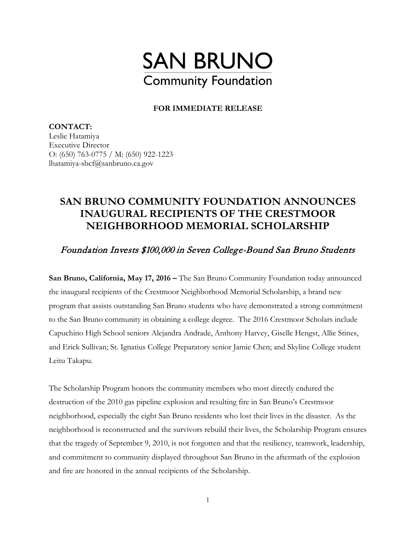

## **FOR IMMEDIATE RELEASE**

**CONTACT:**  Leslie Hatamiya Executive Director O: (650) 763-0775 / M: (650) 922-1223 lhatamiya-sbcf@sanbruno.ca.gov

## **SAN BRUNO COMMUNITY FOUNDATION ANNOUNCES INAUGURAL RECIPIENTS OF THE CRESTMOOR NEIGHBORHOOD MEMORIAL SCHOLARSHIP**

Foundation Invests \$100,000 in Seven College-Bound San Bruno Students

**San Bruno, California, May 17, 2016 –** The San Bruno Community Foundation today announced the inaugural recipients of the Crestmoor Neighborhood Memorial Scholarship, a brand new program that assists outstanding San Bruno students who have demonstrated a strong commitment to the San Bruno community in obtaining a college degree. The 2016 Crestmoor Scholars include Capuchino High School seniors Alejandra Andrade, Anthony Harvey, Giselle Hengst, Allie Stines, and Erick Sullivan; St. Ignatius College Preparatory senior Jamie Chen; and Skyline College student Leitu Takapu.

The Scholarship Program honors the community members who most directly endured the destruction of the 2010 gas pipeline explosion and resulting fire in San Bruno's Crestmoor neighborhood, especially the eight San Bruno residents who lost their lives in the disaster. As the neighborhood is reconstructed and the survivors rebuild their lives, the Scholarship Program ensures that the tragedy of September 9, 2010, is not forgotten and that the resiliency, teamwork, leadership, and commitment to community displayed throughout San Bruno in the aftermath of the explosion and fire are honored in the annual recipients of the Scholarship.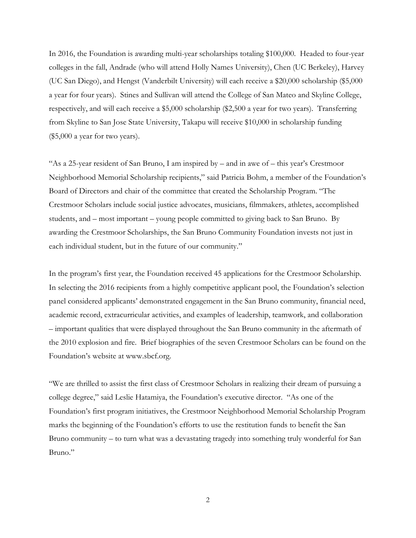In 2016, the Foundation is awarding multi-year scholarships totaling \$100,000. Headed to four-year colleges in the fall, Andrade (who will attend Holly Names University), Chen (UC Berkeley), Harvey (UC San Diego), and Hengst (Vanderbilt University) will each receive a \$20,000 scholarship (\$5,000 a year for four years). Stines and Sullivan will attend the College of San Mateo and Skyline College, respectively, and will each receive a \$5,000 scholarship (\$2,500 a year for two years). Transferring from Skyline to San Jose State University, Takapu will receive \$10,000 in scholarship funding (\$5,000 a year for two years).

"As a 25-year resident of San Bruno, I am inspired by – and in awe of – this year's Crestmoor Neighborhood Memorial Scholarship recipients," said Patricia Bohm, a member of the Foundation's Board of Directors and chair of the committee that created the Scholarship Program. "The Crestmoor Scholars include social justice advocates, musicians, filmmakers, athletes, accomplished students, and – most important – young people committed to giving back to San Bruno. By awarding the Crestmoor Scholarships, the San Bruno Community Foundation invests not just in each individual student, but in the future of our community."

In the program's first year, the Foundation received 45 applications for the Crestmoor Scholarship. In selecting the 2016 recipients from a highly competitive applicant pool, the Foundation's selection panel considered applicants' demonstrated engagement in the San Bruno community, financial need, academic record, extracurricular activities, and examples of leadership, teamwork, and collaboration – important qualities that were displayed throughout the San Bruno community in the aftermath of the 2010 explosion and fire. Brief biographies of the seven Crestmoor Scholars can be found on the Foundation's website at www.sbcf.org.

"We are thrilled to assist the first class of Crestmoor Scholars in realizing their dream of pursuing a college degree," said Leslie Hatamiya, the Foundation's executive director. "As one of the Foundation's first program initiatives, the Crestmoor Neighborhood Memorial Scholarship Program marks the beginning of the Foundation's efforts to use the restitution funds to benefit the San Bruno community – to turn what was a devastating tragedy into something truly wonderful for San Bruno."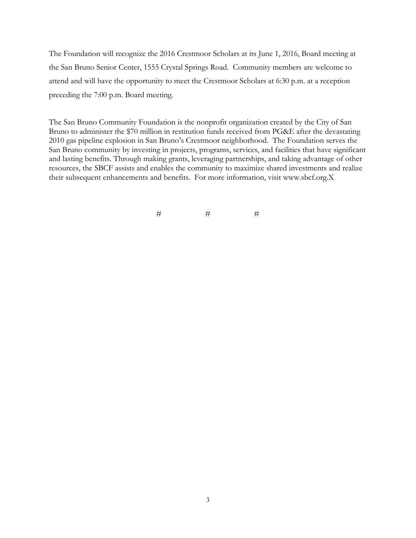The Foundation will recognize the 2016 Crestmoor Scholars at its June 1, 2016, Board meeting at the San Bruno Senior Center, 1555 Crystal Springs Road. Community members are welcome to attend and will have the opportunity to meet the Crestmoor Scholars at 6:30 p.m. at a reception preceding the 7:00 p.m. Board meeting.

The San Bruno Community Foundation is the nonprofit organization created by the City of San Bruno to administer the \$70 million in restitution funds received from PG&E after the devastating 2010 gas pipeline explosion in San Bruno's Crestmoor neighborhood. The Foundation serves the San Bruno community by investing in projects, programs, services, and facilities that have significant and lasting benefits. Through making grants, leveraging partnerships, and taking advantage of other resources, the SBCF assists and enables the community to maximize shared investments and realize their subsequent enhancements and benefits. For more information, visit www.sbcf.org.X

 $\#$   $\qquad$   $\qquad$   $\#$   $\qquad$   $\qquad$   $\qquad$   $\qquad$   $\qquad$   $\qquad$   $\qquad$   $\qquad$   $\qquad$   $\qquad$   $\qquad$   $\qquad$   $\qquad$   $\qquad$   $\qquad$   $\qquad$   $\qquad$   $\qquad$   $\qquad$   $\qquad$   $\qquad$   $\qquad$   $\qquad$   $\qquad$   $\qquad$   $\qquad$   $\qquad$   $\qquad$   $\qquad$   $\qquad$   $\qquad$   $\qquad$   $\qquad$